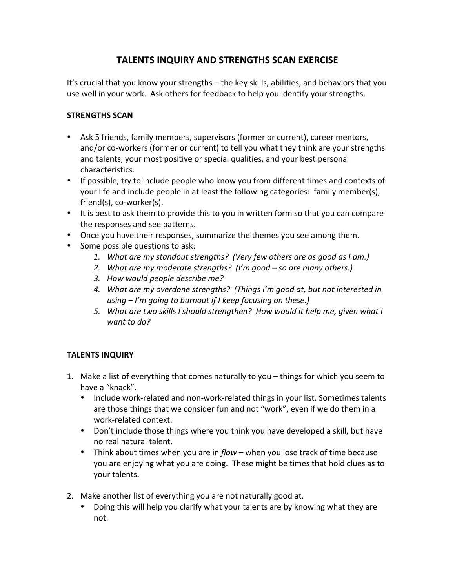## **TALENTS INQUIRY AND STRENGTHS SCAN EXERCISE**

It's crucial that you know your strengths – the key skills, abilities, and behaviors that you use well in your work. Ask others for feedback to help you identify your strengths.

## **STRENGTHS SCAN**

- Ask 5 friends, family members, supervisors (former or current), career mentors, and/or co‐workers (former or current) to tell you what they think are your strengths and talents, your most positive or special qualities, and your best personal characteristics.
- If possible, try to include people who know you from different times and contexts of your life and include people in at least the following categories: family member(s), friend(s), co-worker(s).
- It is best to ask them to provide this to you in written form so that you can compare the responses and see patterns.
- Once you have their responses, summarize the themes you see among them.
- Some possible questions to ask:
	- *1. What are my standout strengths? (Very few others are as good as I am.)*
	- *2. What are my moderate strengths? (I'm good so are many others.)*
	- *3. How would people describe me?*
	- *4. What are my overdone strengths? (Things I'm good at, but not interested in using – I'm going to burnout if I keep focusing on these.)*
	- *5. What are two skills I should strengthen? How would it help me, given what I want to do?*

## **TALENTS INQUIRY**

- 1. Make a list of everything that comes naturally to you things for which you seem to have a "knack".
	- Include work-related and non-work-related things in your list. Sometimes talents are those things that we consider fun and not "work", even if we do them in a work‐related context.
	- Don't include those things where you think you have developed a skill, but have no real natural talent.
	- Think about times when you are in *flow* when you lose track of time because you are enjoying what you are doing. These might be times that hold clues as to your talents.
- 2. Make another list of everything you are not naturally good at.
	- Doing this will help you clarify what your talents are by knowing what they are not.